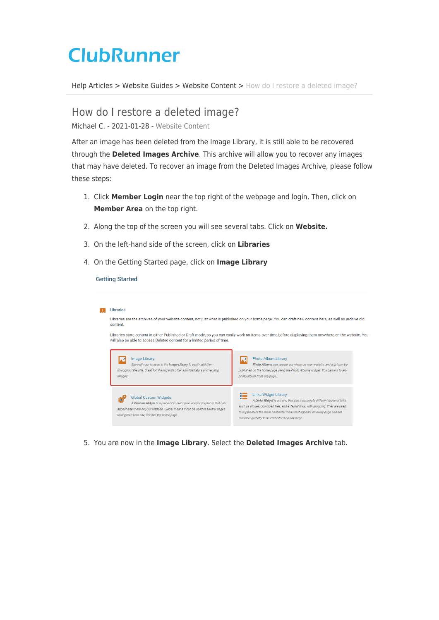## **ClubRunner**

[Help Articles](https://www.clubrunnersupport.com/kb) > [Website Guides](https://www.clubrunnersupport.com/kb/website-guides) > [Website Content](https://www.clubrunnersupport.com/kb/website-content) > [How do I restore a deleted image?](https://www.clubrunnersupport.com/kb/articles/how-do-i-restore-a-deleted-image)

How do I restore a deleted image?

Michael C. - 2021-01-28 - [Website Content](https://www.clubrunnersupport.com/kb/website-content)

After an image has been deleted from the Image Library, it is still able to be recovered through the **Deleted Images Archive**. This archive will allow you to recover any images that may have deleted. To recover an image from the Deleted Images Archive, please follow these steps:

- 1. Click **Member Login** near the top right of the webpage and login. Then, click on **Member Area** on the top right.
- 2. Along the top of the screen you will see several tabs. Click on **Website.**
- 3. On the left-hand side of the screen, click on **Libraries**
- 4. On the Getting Started page, click on **Image Library**

## **Getting Started**

| Libraries                                                                                                                                                                                                                               |                                                                                                                                                                                                                                                                                                                           |
|-----------------------------------------------------------------------------------------------------------------------------------------------------------------------------------------------------------------------------------------|---------------------------------------------------------------------------------------------------------------------------------------------------------------------------------------------------------------------------------------------------------------------------------------------------------------------------|
| Libraries are the archives of your website content, not just what is published on your home page. You can draft new content here, as well as archive old<br>content.                                                                    |                                                                                                                                                                                                                                                                                                                           |
| Libraries store content in either Published or Draft mode, so you can easily work on items over time before displaying them anywhere on the website. You<br>will also be able to access Deleted content for a limited period of time.   |                                                                                                                                                                                                                                                                                                                           |
| <b>Image Library</b><br>Store all your images in the Image Library to easily add them<br>throughout the site. Great for sharing with other administrators and reusing<br><i>images.</i>                                                 | <b>Photo Album Library</b><br>Photo Albums can appear anywhere on your website, and a list can be<br>published on the home page using the Photo Albums widget. You can link to any<br>photo album from any page.                                                                                                          |
| <b>Global Custom Widgets</b><br>A Custom Widget is a piece of content (text and/or graphics) that can<br>appear anywhere on your website. Global means it can be used in several pages<br>throughout your site, not just the home page. | <b>Links Widget Library</b><br>A Links Widget is a menu that can incorporate different types of links<br>such as stories, download files, and external links, with grouping. They are used<br>to supplement the main horizontal menu that appears on every page and are<br>available globally to be embedded on any page. |

5. You are now in the **Image Library**. Select the **Deleted Images Archive** tab.